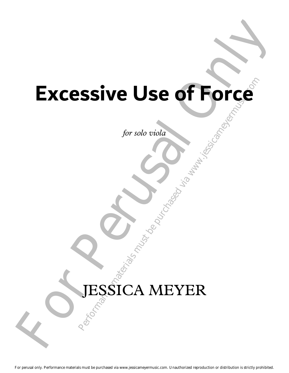# **Performance Materials must be purchased via www.jessicameryermusic.com**<br>Purchased via www.jessicameyermusic.com<br>Purchased via www.jessicameyermusic.com<br>Purchased via www.jessicameyermusic.com Excessive Use of Force **Excessive Use of Force**

*for solo viola*

# JESSICA MEYER

For perusal only. Performance materials must be purchased via www.jessicameyermusic.com. Unauthorized reproduction or distribution is strictly prohibited.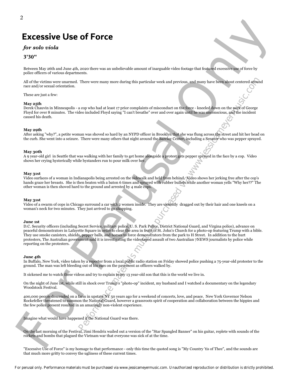## **Excessive Use of Force**

### *for solo viola*

### **3'30"**

Between May 26th and June 4th, 2020 there was an unbelievable amount of inarguable video footage that featured excessive use of force by police officers of various departments.

All of the victims were unarmed. There were many more during this particular week and previous, and many have been about centered around race and/or sexual orientation.

These are just a few:

### **May 25th**

Derek Chauvin in Minneapolis - a cop who had at least 17 prior complaints of misconduct on the force - kneeled down on the neck of George Floyd for over 8 minutes. The video included Floyd saying "I can't breathe" over and over again until he was unconscious, and the incident caused his death.

### **May 29th**

After asking "why?", a petite woman was shoved so hard by an NYPD officer in Brooklyn that she was flung across the street and hit her head on the curb. She went into a seizure. There were many others that night around the Barclay Center, including a Senator who was pepper sprayed.

### **May 30th**

A 9 year-old girl in Seattle that was walking with her family to get home alongside a protest gets pepper sprayed in the face by a cop. Video shows her crying hysterically while bystanders run to pour milk over her.

### **May 31st**

Video surfaces of a woman in Indianapolis being arrested on the sidewalk and held from behind. Video shows her jerking free after the cop's hands graze her breasts. She is then beaten with a baton 6 times and sprayed with rubber bullets while another woman yells "Why her??" The other woman is then shoved hard to the ground and arrested by 4 male cops.

### **May 31st**

Video of a swarm of cops in Chicago surround a car with 2 women inside. They are violently dragged out by their hair and one kneels on a woman's neck for two minutes. They just arrived to go shopping.

### **June 1st**

There were many more during this particular week and provious, and mums have been about extered around the purchase of the purchase of the purchase of the purchase of the purchase of the purchase of the purchase of the pu EXCESSIVE USE OF FOTCE<br>
For such viola de singura de mais antes antes antes antes antes antes antes antes antes antes antes antes antes antes antes antes antes antes antes antes antes antes antes antes antes antes antes an D.C. Security officers (including Secret Service, military police, U. S. Park Police, District National Guard, and Virgina police), advance on peaceful demonstrators in Lafayette Square in order to clear the area in front of St. John's Church for a photo-op featuring Trump with a bible. They use smoke canisters, shields, pepper balls, and horses to force demonstrators from the park to H Street. In addition to the hurt protesters, The Australian government said it is investigating the videotaped assault of two Australian 7NEWS journalists by police while reporting on the protesters.

### **June 4th**

In Buffalo, New York, video taken by a reporter from a local public radio station on Friday showed police pushing a 75-year-old protester to the ground. The man was left bleeding out of his ears on the pavement as officers walked by.

It sickened me to watch these videos and try to explain to my 13 year-old son that this is the world we live in.

On the night of June 1st, while still in shock over Trump's "photo-op" incident, my husband and I watched a documentary on the legendary Woodstock Festival.

400,000 people descended on a farm in upstate NY 50 years ago for a weekend of concerts, love, and peace. New York Governor Nelson Rockefeller threatened to summon the National Guard, however a grassroots spirit of cooperation and collaboration between the hippies and the few police present resulted in an amazingly non-violent experience.

Imagine what would have happened if the National Guard was there.

On the last morning of the Festival, Jimi Hendrix wailed out a version of the "Star Spangled Banner" on his guitar, replete with sounds of the rockets and bombs that plagued the Vietnam war that everyone was sick of at the time.

"Excessive Use of Force" is my homage to that performance - only this time the quoted song is "My Country 'tis of Thee", and the sounds are that much more gritty to convey the ugliness of these current times.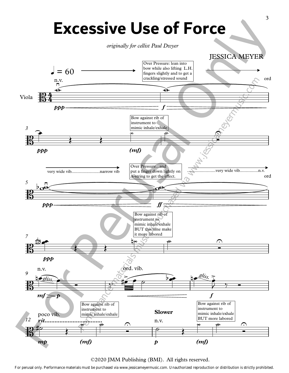

©2020 JMM Publishing (BMI). All rights reserved.

For perusal only. Performance materials must be purchased via www.jessicameyermusic.com. Unauthorized reproduction or distribution is strictly prohibited.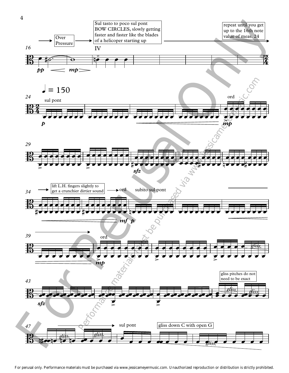

For perusal only. Performance materials must be purchased via www.jessicameyermusic.com. Unauthorized reproduction or distribution is strictly prohibited.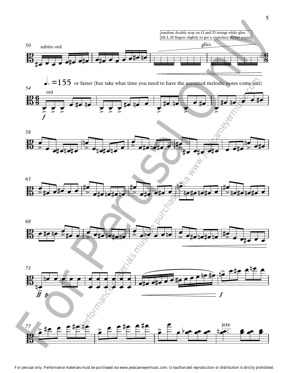

For perusal only. Performance materials must be purchased via www.jessicameyermusic.com. Unauthorized reproduction or distribution is strictly prohibited.